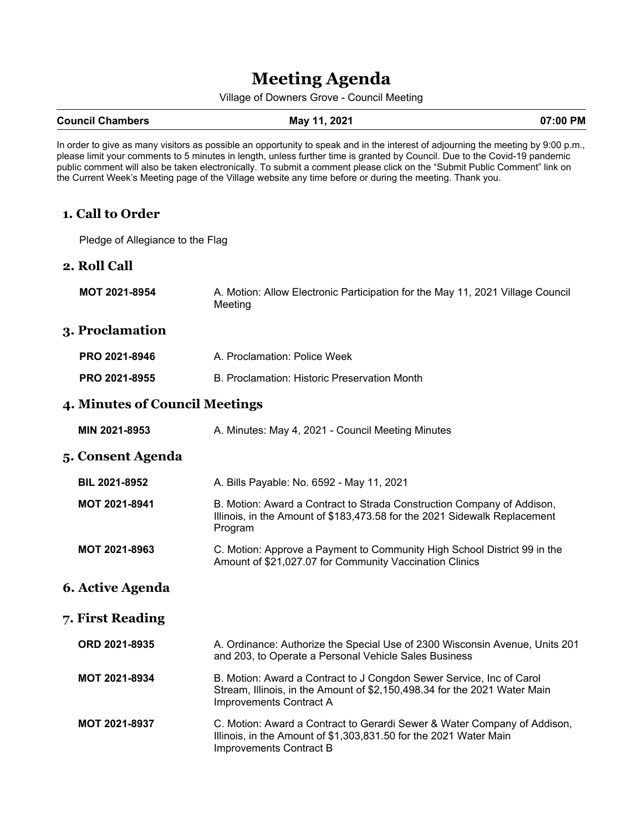# **Meeting Agenda**

Village of Downers Grove - Council Meeting

#### **Council Chambers 61 Council Chambers May 11, 2021 11, 2021 12, 2021**

In order to give as many visitors as possible an opportunity to speak and in the interest of adjourning the meeting by 9:00 p.m., please limit your comments to 5 minutes in length, unless further time is granted by Council. Due to the Covid-19 pandemic public comment will also be taken electronically. To submit a comment please click on the "Submit Public Comment" link on the Current Week's Meeting page of the Village website any time before or during the meeting. Thank you.

## **1. Call to Order**

Pledge of Allegiance to the Flag

#### **2. Roll Call**

**MOT 2021-8954** A. Motion: Allow Electronic Participation for the May 11, 2021 Village Council Meeting

#### **3. Proclamation**

| <b>PRO 2021-8946</b> | A. Proclamation: Police Week                 |
|----------------------|----------------------------------------------|
| <b>PRO 2021-8955</b> | B. Proclamation: Historic Preservation Month |

#### **4. Minutes of Council Meetings**

| MIN 2021-8953 | A. Minutes: May 4, 2021 - Council Meeting Minutes |
|---------------|---------------------------------------------------|
|---------------|---------------------------------------------------|

#### **5. Consent Agenda**

| <b>BIL 2021-8952</b> | A. Bills Payable: No. 6592 - May 11, 2021                                                                                                                      |
|----------------------|----------------------------------------------------------------------------------------------------------------------------------------------------------------|
| <b>MOT 2021-8941</b> | B. Motion: Award a Contract to Strada Construction Company of Addison,<br>Illinois, in the Amount of \$183,473.58 for the 2021 Sidewalk Replacement<br>Program |
| <b>MOT 2021-8963</b> | C. Motion: Approve a Payment to Community High School District 99 in the<br>Amount of \$21,027.07 for Community Vaccination Clinics                            |

#### **6. Active Agenda**

#### **7. First Reading**

| ORD 2021-8935        | A. Ordinance: Authorize the Special Use of 2300 Wisconsin Avenue, Units 201<br>and 203, to Operate a Personal Vehicle Sales Business                                         |
|----------------------|------------------------------------------------------------------------------------------------------------------------------------------------------------------------------|
| <b>MOT 2021-8934</b> | B. Motion: Award a Contract to J Congdon Sewer Service, Inc of Carol<br>Stream, Illinois, in the Amount of \$2,150,498.34 for the 2021 Water Main<br>Improvements Contract A |
| <b>MOT 2021-8937</b> | C. Motion: Award a Contract to Gerardi Sewer & Water Company of Addison,<br>Illinois, in the Amount of \$1,303,831.50 for the 2021 Water Main<br>Improvements Contract B     |